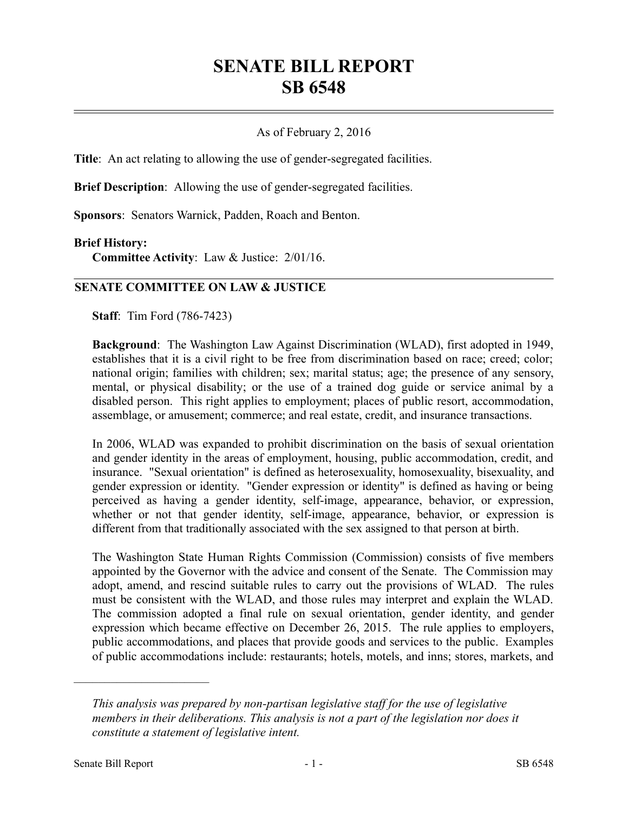# **SENATE BILL REPORT SB 6548**

## As of February 2, 2016

**Title**: An act relating to allowing the use of gender-segregated facilities.

**Brief Description**: Allowing the use of gender-segregated facilities.

**Sponsors**: Senators Warnick, Padden, Roach and Benton.

#### **Brief History:**

**Committee Activity**: Law & Justice: 2/01/16.

## **SENATE COMMITTEE ON LAW & JUSTICE**

**Staff**: Tim Ford (786-7423)

**Background**: The Washington Law Against Discrimination (WLAD), first adopted in 1949, establishes that it is a civil right to be free from discrimination based on race; creed; color; national origin; families with children; sex; marital status; age; the presence of any sensory, mental, or physical disability; or the use of a trained dog guide or service animal by a disabled person. This right applies to employment; places of public resort, accommodation, assemblage, or amusement; commerce; and real estate, credit, and insurance transactions.

In 2006, WLAD was expanded to prohibit discrimination on the basis of sexual orientation and gender identity in the areas of employment, housing, public accommodation, credit, and insurance. "Sexual orientation" is defined as heterosexuality, homosexuality, bisexuality, and gender expression or identity. "Gender expression or identity" is defined as having or being perceived as having a gender identity, self-image, appearance, behavior, or expression, whether or not that gender identity, self-image, appearance, behavior, or expression is different from that traditionally associated with the sex assigned to that person at birth.

The Washington State Human Rights Commission (Commission) consists of five members appointed by the Governor with the advice and consent of the Senate. The Commission may adopt, amend, and rescind suitable rules to carry out the provisions of WLAD. The rules must be consistent with the WLAD, and those rules may interpret and explain the WLAD. The commission adopted a final rule on sexual orientation, gender identity, and gender expression which became effective on December 26, 2015. The rule applies to employers, public accommodations, and places that provide goods and services to the public. Examples of public accommodations include: restaurants; hotels, motels, and inns; stores, markets, and

––––––––––––––––––––––

*This analysis was prepared by non-partisan legislative staff for the use of legislative members in their deliberations. This analysis is not a part of the legislation nor does it constitute a statement of legislative intent.*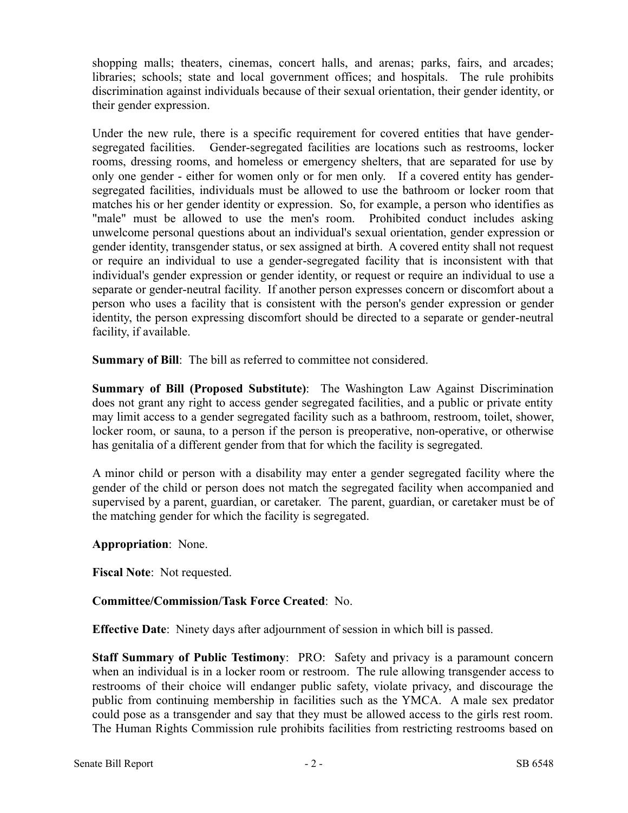shopping malls; theaters, cinemas, concert halls, and arenas; parks, fairs, and arcades; libraries; schools; state and local government offices; and hospitals. The rule prohibits discrimination against individuals because of their sexual orientation, their gender identity, or their gender expression.

Under the new rule, there is a specific requirement for covered entities that have gendersegregated facilities. Gender-segregated facilities are locations such as restrooms, locker rooms, dressing rooms, and homeless or emergency shelters, that are separated for use by only one gender - either for women only or for men only. If a covered entity has gendersegregated facilities, individuals must be allowed to use the bathroom or locker room that matches his or her gender identity or expression. So, for example, a person who identifies as "male" must be allowed to use the men's room. Prohibited conduct includes asking unwelcome personal questions about an individual's sexual orientation, gender expression or gender identity, transgender status, or sex assigned at birth. A covered entity shall not request or require an individual to use a gender-segregated facility that is inconsistent with that individual's gender expression or gender identity, or request or require an individual to use a separate or gender-neutral facility. If another person expresses concern or discomfort about a person who uses a facility that is consistent with the person's gender expression or gender identity, the person expressing discomfort should be directed to a separate or gender-neutral facility, if available.

**Summary of Bill**: The bill as referred to committee not considered.

**Summary of Bill (Proposed Substitute)**: The Washington Law Against Discrimination does not grant any right to access gender segregated facilities, and a public or private entity may limit access to a gender segregated facility such as a bathroom, restroom, toilet, shower, locker room, or sauna, to a person if the person is preoperative, non-operative, or otherwise has genitalia of a different gender from that for which the facility is segregated.

A minor child or person with a disability may enter a gender segregated facility where the gender of the child or person does not match the segregated facility when accompanied and supervised by a parent, guardian, or caretaker. The parent, guardian, or caretaker must be of the matching gender for which the facility is segregated.

**Appropriation**: None.

**Fiscal Note**: Not requested.

# **Committee/Commission/Task Force Created**: No.

**Effective Date**: Ninety days after adjournment of session in which bill is passed.

**Staff Summary of Public Testimony**: PRO: Safety and privacy is a paramount concern when an individual is in a locker room or restroom. The rule allowing transgender access to restrooms of their choice will endanger public safety, violate privacy, and discourage the public from continuing membership in facilities such as the YMCA. A male sex predator could pose as a transgender and say that they must be allowed access to the girls rest room. The Human Rights Commission rule prohibits facilities from restricting restrooms based on